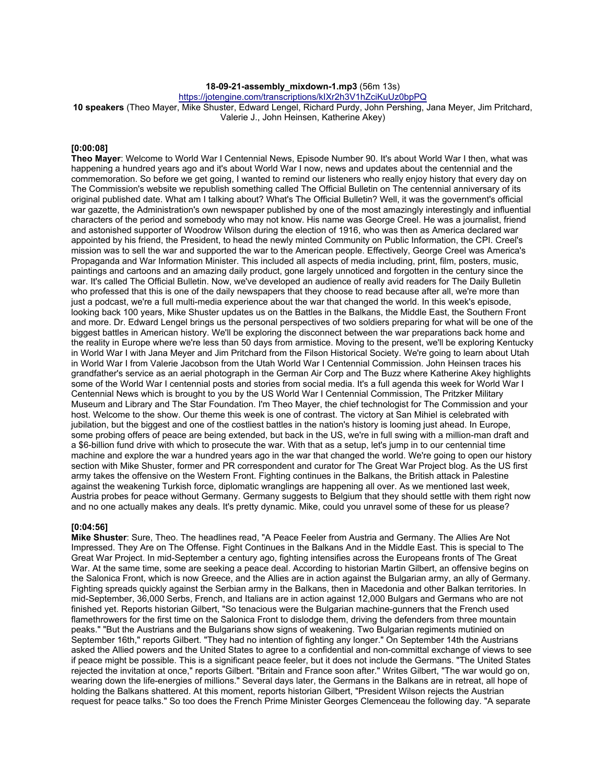# **18-09-21-assembly\_mixdown-1.mp3** (56m 13s)

https://jotengine.com/transcriptions/kIXr2h3V1hZciKuUz0bpPQ

**10 speakers** (Theo Mayer, Mike Shuster, Edward Lengel, Richard Purdy, John Pershing, Jana Meyer, Jim Pritchard, Valerie J., John Heinsen, Katherine Akey)

#### **[0:00:08]**

**Theo Mayer**: Welcome to World War I Centennial News, Episode Number 90. It's about World War I then, what was happening a hundred years ago and it's about World War I now, news and updates about the centennial and the commemoration. So before we get going, I wanted to remind our listeners who really enjoy history that every day on The Commission's website we republish something called The Official Bulletin on The centennial anniversary of its original published date. What am I talking about? What's The Official Bulletin? Well, it was the government's official war gazette, the Administration's own newspaper published by one of the most amazingly interestingly and influential characters of the period and somebody who may not know. His name was George Creel. He was a journalist, friend and astonished supporter of Woodrow Wilson during the election of 1916, who was then as America declared war appointed by his friend, the President, to head the newly minted Community on Public Information, the CPI. Creel's mission was to sell the war and supported the war to the American people. Effectively, George Creel was America's Propaganda and War Information Minister. This included all aspects of media including, print, film, posters, music, paintings and cartoons and an amazing daily product, gone largely unnoticed and forgotten in the century since the war. It's called The Official Bulletin. Now, we've developed an audience of really avid readers for The Daily Bulletin who professed that this is one of the daily newspapers that they choose to read because after all, we're more than just a podcast, we're a full multi-media experience about the war that changed the world. In this week's episode, looking back 100 years, Mike Shuster updates us on the Battles in the Balkans, the Middle East, the Southern Front and more. Dr. Edward Lengel brings us the personal perspectives of two soldiers preparing for what will be one of the biggest battles in American history. We'll be exploring the disconnect between the war preparations back home and the reality in Europe where we're less than 50 days from armistice. Moving to the present, we'll be exploring Kentucky in World War I with Jana Meyer and Jim Pritchard from the Filson Historical Society. We're going to learn about Utah in World War I from Valerie Jacobson from the Utah World War I Centennial Commission. John Heinsen traces his grandfather's service as an aerial photograph in the German Air Corp and The Buzz where Katherine Akey highlights some of the World War I centennial posts and stories from social media. It's a full agenda this week for World War I Centennial News which is brought to you by the US World War I Centennial Commission, The Pritzker Military Museum and Library and The Star Foundation. I'm Theo Mayer, the chief technologist for The Commission and your host. Welcome to the show. Our theme this week is one of contrast. The victory at San Mihiel is celebrated with jubilation, but the biggest and one of the costliest battles in the nation's history is looming just ahead. In Europe, some probing offers of peace are being extended, but back in the US, we're in full swing with a million-man draft and a \$6-billion fund drive with which to prosecute the war. With that as a setup, let's jump in to our centennial time machine and explore the war a hundred years ago in the war that changed the world. We're going to open our history section with Mike Shuster, former and PR correspondent and curator for The Great War Project blog. As the US first army takes the offensive on the Western Front. Fighting continues in the Balkans, the British attack in Palestine against the weakening Turkish force, diplomatic wranglings are happening all over. As we mentioned last week, Austria probes for peace without Germany. Germany suggests to Belgium that they should settle with them right now and no one actually makes any deals. It's pretty dynamic. Mike, could you unravel some of these for us please?

#### **[0:04:56]**

**Mike Shuster**: Sure, Theo. The headlines read, "A Peace Feeler from Austria and Germany. The Allies Are Not Impressed. They Are on The Offense. Fight Continues in the Balkans And in the Middle East. This is special to The Great War Project. In mid-September a century ago, fighting intensifies across the Europeans fronts of The Great War. At the same time, some are seeking a peace deal. According to historian Martin Gilbert, an offensive begins on the Salonica Front, which is now Greece, and the Allies are in action against the Bulgarian army, an ally of Germany. Fighting spreads quickly against the Serbian army in the Balkans, then in Macedonia and other Balkan territories. In mid-September, 36,000 Serbs, French, and Italians are in action against 12,000 Bulgars and Germans who are not finished yet. Reports historian Gilbert, "So tenacious were the Bulgarian machine-gunners that the French used flamethrowers for the first time on the Salonica Front to dislodge them, driving the defenders from three mountain peaks." "But the Austrians and the Bulgarians show signs of weakening. Two Bulgarian regiments mutinied on September 16th," reports Gilbert. "They had no intention of fighting any longer." On September 14th the Austrians asked the Allied powers and the United States to agree to a confidential and non-committal exchange of views to see if peace might be possible. This is a significant peace feeler, but it does not include the Germans. "The United States rejected the invitation at once," reports Gilbert. "Britain and France soon after." Writes Gilbert, "The war would go on, wearing down the life-energies of millions." Several days later, the Germans in the Balkans are in retreat, all hope of holding the Balkans shattered. At this moment, reports historian Gilbert, "President Wilson rejects the Austrian request for peace talks." So too does the French Prime Minister Georges Clemenceau the following day. "A separate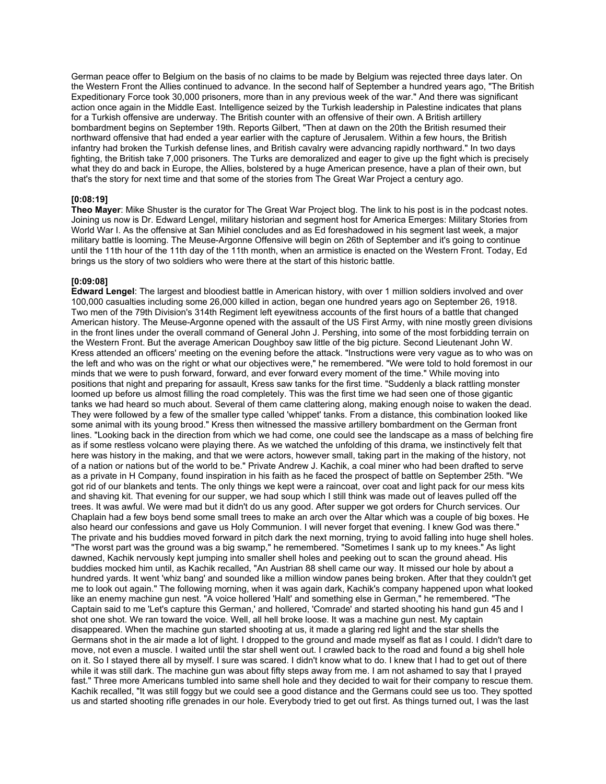German peace offer to Belgium on the basis of no claims to be made by Belgium was rejected three days later. On the Western Front the Allies continued to advance. In the second half of September a hundred years ago, "The British Expeditionary Force took 30,000 prisoners, more than in any previous week of the war." And there was significant action once again in the Middle East. Intelligence seized by the Turkish leadership in Palestine indicates that plans for a Turkish offensive are underway. The British counter with an offensive of their own. A British artillery bombardment begins on September 19th. Reports Gilbert, "Then at dawn on the 20th the British resumed their northward offensive that had ended a year earlier with the capture of Jerusalem. Within a few hours, the British infantry had broken the Turkish defense lines, and British cavalry were advancing rapidly northward." In two days fighting, the British take 7,000 prisoners. The Turks are demoralized and eager to give up the fight which is precisely what they do and back in Europe, the Allies, bolstered by a huge American presence, have a plan of their own, but that's the story for next time and that some of the stories from The Great War Project a century ago.

## **[0:08:19]**

**Theo Mayer**: Mike Shuster is the curator for The Great War Project blog. The link to his post is in the podcast notes. Joining us now is Dr. Edward Lengel, military historian and segment host for America Emerges: Military Stories from World War I. As the offensive at San Mihiel concludes and as Ed foreshadowed in his segment last week, a major military battle is looming. The Meuse-Argonne Offensive will begin on 26th of September and it's going to continue until the 11th hour of the 11th day of the 11th month, when an armistice is enacted on the Western Front. Today, Ed brings us the story of two soldiers who were there at the start of this historic battle.

## **[0:09:08]**

**Edward Lengel**: The largest and bloodiest battle in American history, with over 1 million soldiers involved and over 100,000 casualties including some 26,000 killed in action, began one hundred years ago on September 26, 1918. Two men of the 79th Division's 314th Regiment left eyewitness accounts of the first hours of a battle that changed American history. The Meuse-Argonne opened with the assault of the US First Army, with nine mostly green divisions in the front lines under the overall command of General John J. Pershing, into some of the most forbidding terrain on the Western Front. But the average American Doughboy saw little of the big picture. Second Lieutenant John W. Kress attended an officers' meeting on the evening before the attack. "Instructions were very vague as to who was on the left and who was on the right or what our objectives were," he remembered. "We were told to hold foremost in our minds that we were to push forward, forward, and ever forward every moment of the time." While moving into positions that night and preparing for assault, Kress saw tanks for the first time. "Suddenly a black rattling monster loomed up before us almost filling the road completely. This was the first time we had seen one of those gigantic tanks we had heard so much about. Several of them came clattering along, making enough noise to waken the dead. They were followed by a few of the smaller type called 'whippet' tanks. From a distance, this combination looked like some animal with its young brood." Kress then witnessed the massive artillery bombardment on the German front lines. "Looking back in the direction from which we had come, one could see the landscape as a mass of belching fire as if some restless volcano were playing there. As we watched the unfolding of this drama, we instinctively felt that here was history in the making, and that we were actors, however small, taking part in the making of the history, not of a nation or nations but of the world to be." Private Andrew J. Kachik, a coal miner who had been drafted to serve as a private in H Company, found inspiration in his faith as he faced the prospect of battle on September 25th. "We got rid of our blankets and tents. The only things we kept were a raincoat, over coat and light pack for our mess kits and shaving kit. That evening for our supper, we had soup which I still think was made out of leaves pulled off the trees. It was awful. We were mad but it didn't do us any good. After supper we got orders for Church services. Our Chaplain had a few boys bend some small trees to make an arch over the Altar which was a couple of big boxes. He also heard our confessions and gave us Holy Communion. I will never forget that evening. I knew God was there." The private and his buddies moved forward in pitch dark the next morning, trying to avoid falling into huge shell holes. "The worst part was the ground was a big swamp," he remembered. "Sometimes I sank up to my knees." As light dawned, Kachik nervously kept jumping into smaller shell holes and peeking out to scan the ground ahead. His buddies mocked him until, as Kachik recalled, "An Austrian 88 shell came our way. It missed our hole by about a hundred yards. It went 'whiz bang' and sounded like a million window panes being broken. After that they couldn't get me to look out again." The following morning, when it was again dark, Kachik's company happened upon what looked like an enemy machine gun nest. "A voice hollered 'Halt' and something else in German," he remembered. "The Captain said to me 'Let's capture this German,' and hollered, 'Comrade' and started shooting his hand gun 45 and I shot one shot. We ran toward the voice. Well, all hell broke loose. It was a machine gun nest. My captain disappeared. When the machine gun started shooting at us, it made a glaring red light and the star shells the Germans shot in the air made a lot of light. I dropped to the ground and made myself as flat as I could. I didn't dare to move, not even a muscle. I waited until the star shell went out. I crawled back to the road and found a big shell hole on it. So I stayed there all by myself. I sure was scared. I didn't know what to do. I knew that I had to get out of there while it was still dark. The machine gun was about fifty steps away from me. I am not ashamed to say that I prayed fast." Three more Americans tumbled into same shell hole and they decided to wait for their company to rescue them. Kachik recalled, "It was still foggy but we could see a good distance and the Germans could see us too. They spotted us and started shooting rifle grenades in our hole. Everybody tried to get out first. As things turned out, I was the last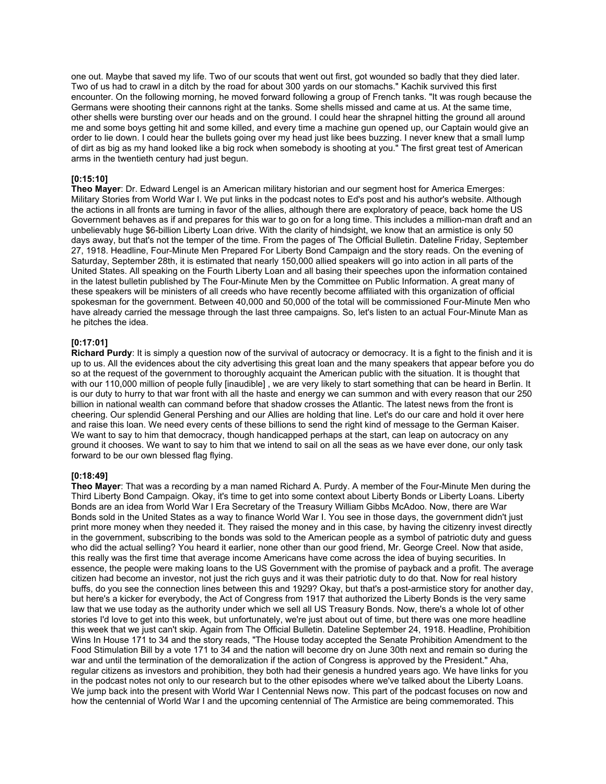one out. Maybe that saved my life. Two of our scouts that went out first, got wounded so badly that they died later. Two of us had to crawl in a ditch by the road for about 300 yards on our stomachs." Kachik survived this first encounter. On the following morning, he moved forward following a group of French tanks. "It was rough because the Germans were shooting their cannons right at the tanks. Some shells missed and came at us. At the same time, other shells were bursting over our heads and on the ground. I could hear the shrapnel hitting the ground all around me and some boys getting hit and some killed, and every time a machine gun opened up, our Captain would give an order to lie down. I could hear the bullets going over my head just like bees buzzing. I never knew that a small lump of dirt as big as my hand looked like a big rock when somebody is shooting at you." The first great test of American arms in the twentieth century had just begun.

## **[0:15:10]**

**Theo Mayer**: Dr. Edward Lengel is an American military historian and our segment host for America Emerges: Military Stories from World War I. We put links in the podcast notes to Ed's post and his author's website. Although the actions in all fronts are turning in favor of the allies, although there are exploratory of peace, back home the US Government behaves as if and prepares for this war to go on for a long time. This includes a million-man draft and an unbelievably huge \$6-billion Liberty Loan drive. With the clarity of hindsight, we know that an armistice is only 50 days away, but that's not the temper of the time. From the pages of The Official Bulletin. Dateline Friday, September 27, 1918. Headline, Four-Minute Men Prepared For Liberty Bond Campaign and the story reads. On the evening of Saturday, September 28th, it is estimated that nearly 150,000 allied speakers will go into action in all parts of the United States. All speaking on the Fourth Liberty Loan and all basing their speeches upon the information contained in the latest bulletin published by The Four-Minute Men by the Committee on Public Information. A great many of these speakers will be ministers of all creeds who have recently become affiliated with this organization of official spokesman for the government. Between 40,000 and 50,000 of the total will be commissioned Four-Minute Men who have already carried the message through the last three campaigns. So, let's listen to an actual Four-Minute Man as he pitches the idea.

#### **[0:17:01]**

**Richard Purdy**: It is simply a question now of the survival of autocracy or democracy. It is a fight to the finish and it is up to us. All the evidences about the city advertising this great loan and the many speakers that appear before you do so at the request of the government to thoroughly acquaint the American public with the situation. It is thought that with our 110,000 million of people fully [inaudible] , we are very likely to start something that can be heard in Berlin. It is our duty to hurry to that war front with all the haste and energy we can summon and with every reason that our 250 billion in national wealth can command before that shadow crosses the Atlantic. The latest news from the front is cheering. Our splendid General Pershing and our Allies are holding that line. Let's do our care and hold it over here and raise this loan. We need every cents of these billions to send the right kind of message to the German Kaiser. We want to say to him that democracy, though handicapped perhaps at the start, can leap on autocracy on any ground it chooses. We want to say to him that we intend to sail on all the seas as we have ever done, our only task forward to be our own blessed flag flying.

#### **[0:18:49]**

**Theo Mayer**: That was a recording by a man named Richard A. Purdy. A member of the Four-Minute Men during the Third Liberty Bond Campaign. Okay, it's time to get into some context about Liberty Bonds or Liberty Loans. Liberty Bonds are an idea from World War I Era Secretary of the Treasury William Gibbs McAdoo. Now, there are War Bonds sold in the United States as a way to finance World War I. You see in those days, the government didn't just print more money when they needed it. They raised the money and in this case, by having the citizenry invest directly in the government, subscribing to the bonds was sold to the American people as a symbol of patriotic duty and guess who did the actual selling? You heard it earlier, none other than our good friend, Mr. George Creel. Now that aside, this really was the first time that average income Americans have come across the idea of buying securities. In essence, the people were making loans to the US Government with the promise of payback and a profit. The average citizen had become an investor, not just the rich guys and it was their patriotic duty to do that. Now for real history buffs, do you see the connection lines between this and 1929? Okay, but that's a post-armistice story for another day, but here's a kicker for everybody, the Act of Congress from 1917 that authorized the Liberty Bonds is the very same law that we use today as the authority under which we sell all US Treasury Bonds. Now, there's a whole lot of other stories I'd love to get into this week, but unfortunately, we're just about out of time, but there was one more headline this week that we just can't skip. Again from The Official Bulletin. Dateline September 24, 1918. Headline, Prohibition Wins In House 171 to 34 and the story reads, "The House today accepted the Senate Prohibition Amendment to the Food Stimulation Bill by a vote 171 to 34 and the nation will become dry on June 30th next and remain so during the war and until the termination of the demoralization if the action of Congress is approved by the President." Aha, regular citizens as investors and prohibition, they both had their genesis a hundred years ago. We have links for you in the podcast notes not only to our research but to the other episodes where we've talked about the Liberty Loans. We jump back into the present with World War I Centennial News now. This part of the podcast focuses on now and how the centennial of World War I and the upcoming centennial of The Armistice are being commemorated. This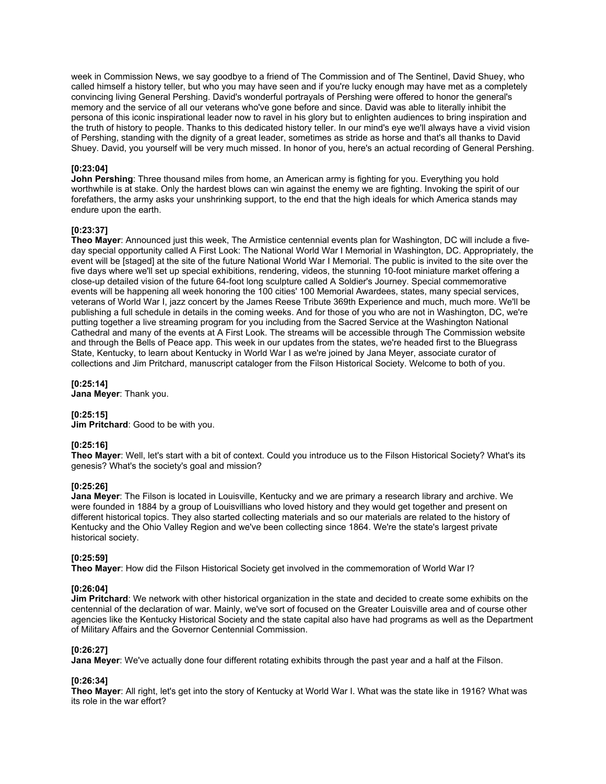week in Commission News, we say goodbye to a friend of The Commission and of The Sentinel, David Shuey, who called himself a history teller, but who you may have seen and if you're lucky enough may have met as a completely convincing living General Pershing. David's wonderful portrayals of Pershing were offered to honor the general's memory and the service of all our veterans who've gone before and since. David was able to literally inhibit the persona of this iconic inspirational leader now to ravel in his glory but to enlighten audiences to bring inspiration and the truth of history to people. Thanks to this dedicated history teller. In our mind's eye we'll always have a vivid vision of Pershing, standing with the dignity of a great leader, sometimes as stride as horse and that's all thanks to David Shuey. David, you yourself will be very much missed. In honor of you, here's an actual recording of General Pershing.

#### **[0:23:04]**

**John Pershing**: Three thousand miles from home, an American army is fighting for you. Everything you hold worthwhile is at stake. Only the hardest blows can win against the enemy we are fighting. Invoking the spirit of our forefathers, the army asks your unshrinking support, to the end that the high ideals for which America stands may endure upon the earth.

## **[0:23:37]**

**Theo Mayer**: Announced just this week, The Armistice centennial events plan for Washington, DC will include a fiveday special opportunity called A First Look: The National World War I Memorial in Washington, DC. Appropriately, the event will be [staged] at the site of the future National World War I Memorial. The public is invited to the site over the five days where we'll set up special exhibitions, rendering, videos, the stunning 10-foot miniature market offering a close-up detailed vision of the future 64-foot long sculpture called A Soldier's Journey. Special commemorative events will be happening all week honoring the 100 cities' 100 Memorial Awardees, states, many special services, veterans of World War I, jazz concert by the James Reese Tribute 369th Experience and much, much more. We'll be publishing a full schedule in details in the coming weeks. And for those of you who are not in Washington, DC, we're putting together a live streaming program for you including from the Sacred Service at the Washington National Cathedral and many of the events at A First Look. The streams will be accessible through The Commission website and through the Bells of Peace app. This week in our updates from the states, we're headed first to the Bluegrass State, Kentucky, to learn about Kentucky in World War I as we're joined by Jana Meyer, associate curator of collections and Jim Pritchard, manuscript cataloger from the Filson Historical Society. Welcome to both of you.

**[0:25:14]**

**Jana Meyer**: Thank you.

#### **[0:25:15]**

**Jim Pritchard**: Good to be with you.

#### **[0:25:16]**

**Theo Mayer**: Well, let's start with a bit of context. Could you introduce us to the Filson Historical Society? What's its genesis? What's the society's goal and mission?

#### **[0:25:26]**

**Jana Meyer**: The Filson is located in Louisville, Kentucky and we are primary a research library and archive. We were founded in 1884 by a group of Louisvillians who loved history and they would get together and present on different historical topics. They also started collecting materials and so our materials are related to the history of Kentucky and the Ohio Valley Region and we've been collecting since 1864. We're the state's largest private historical society.

#### **[0:25:59]**

**Theo Mayer**: How did the Filson Historical Society get involved in the commemoration of World War I?

#### **[0:26:04]**

**Jim Pritchard**: We network with other historical organization in the state and decided to create some exhibits on the centennial of the declaration of war. Mainly, we've sort of focused on the Greater Louisville area and of course other agencies like the Kentucky Historical Society and the state capital also have had programs as well as the Department of Military Affairs and the Governor Centennial Commission.

#### **[0:26:27]**

**Jana Meyer**: We've actually done four different rotating exhibits through the past year and a half at the Filson.

#### **[0:26:34]**

**Theo Mayer**: All right, let's get into the story of Kentucky at World War I. What was the state like in 1916? What was its role in the war effort?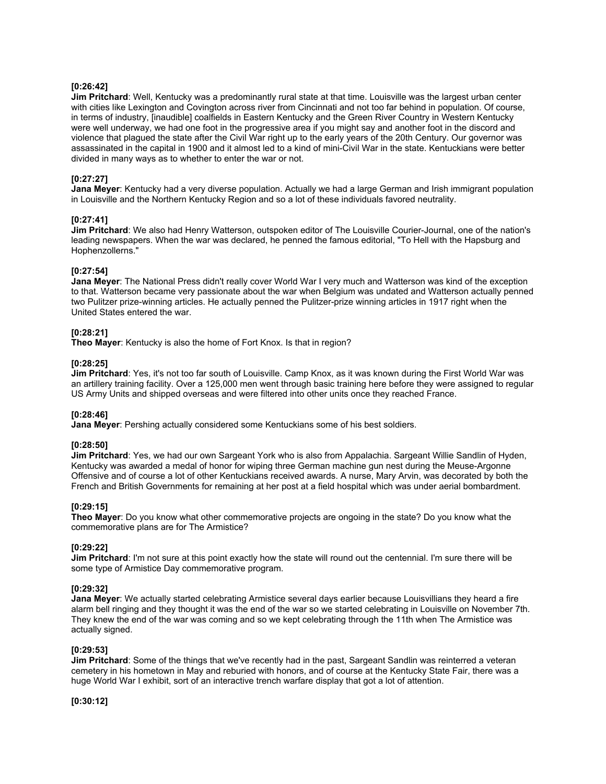## **[0:26:42]**

**Jim Pritchard**: Well, Kentucky was a predominantly rural state at that time. Louisville was the largest urban center with cities like Lexington and Covington across river from Cincinnati and not too far behind in population. Of course, in terms of industry, [inaudible] coalfields in Eastern Kentucky and the Green River Country in Western Kentucky were well underway, we had one foot in the progressive area if you might say and another foot in the discord and violence that plagued the state after the Civil War right up to the early years of the 20th Century. Our governor was assassinated in the capital in 1900 and it almost led to a kind of mini-Civil War in the state. Kentuckians were better divided in many ways as to whether to enter the war or not.

### **[0:27:27]**

**Jana Meyer**: Kentucky had a very diverse population. Actually we had a large German and Irish immigrant population in Louisville and the Northern Kentucky Region and so a lot of these individuals favored neutrality.

#### **[0:27:41]**

**Jim Pritchard**: We also had Henry Watterson, outspoken editor of The Louisville Courier-Journal, one of the nation's leading newspapers. When the war was declared, he penned the famous editorial, "To Hell with the Hapsburg and Hophenzollerns."

#### **[0:27:54]**

**Jana Meyer**: The National Press didn't really cover World War I very much and Watterson was kind of the exception to that. Watterson became very passionate about the war when Belgium was undated and Watterson actually penned two Pulitzer prize-winning articles. He actually penned the Pulitzer-prize winning articles in 1917 right when the United States entered the war.

## **[0:28:21]**

**Theo Mayer**: Kentucky is also the home of Fort Knox. Is that in region?

## **[0:28:25]**

**Jim Pritchard**: Yes, it's not too far south of Louisville. Camp Knox, as it was known during the First World War was an artillery training facility. Over a 125,000 men went through basic training here before they were assigned to regular US Army Units and shipped overseas and were filtered into other units once they reached France.

#### **[0:28:46]**

**Jana Meyer**: Pershing actually considered some Kentuckians some of his best soldiers.

#### **[0:28:50]**

**Jim Pritchard**: Yes, we had our own Sargeant York who is also from Appalachia. Sargeant Willie Sandlin of Hyden, Kentucky was awarded a medal of honor for wiping three German machine gun nest during the Meuse-Argonne Offensive and of course a lot of other Kentuckians received awards. A nurse, Mary Arvin, was decorated by both the French and British Governments for remaining at her post at a field hospital which was under aerial bombardment.

#### **[0:29:15]**

**Theo Mayer**: Do you know what other commemorative projects are ongoing in the state? Do you know what the commemorative plans are for The Armistice?

#### **[0:29:22]**

**Jim Pritchard**: I'm not sure at this point exactly how the state will round out the centennial. I'm sure there will be some type of Armistice Day commemorative program.

#### **[0:29:32]**

**Jana Meyer**: We actually started celebrating Armistice several days earlier because Louisvillians they heard a fire alarm bell ringing and they thought it was the end of the war so we started celebrating in Louisville on November 7th. They knew the end of the war was coming and so we kept celebrating through the 11th when The Armistice was actually signed.

#### **[0:29:53]**

**Jim Pritchard**: Some of the things that we've recently had in the past, Sargeant Sandlin was reinterred a veteran cemetery in his hometown in May and reburied with honors, and of course at the Kentucky State Fair, there was a huge World War I exhibit, sort of an interactive trench warfare display that got a lot of attention.

**[0:30:12]**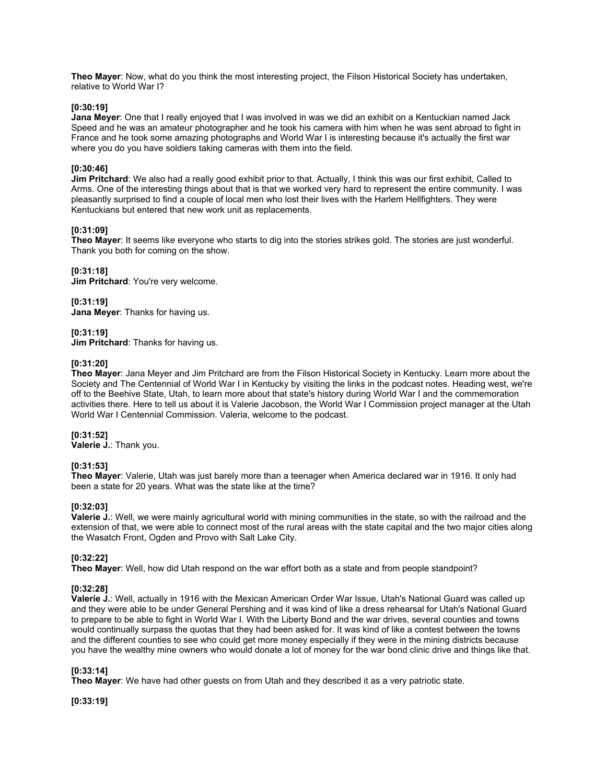**Theo Mayer**: Now, what do you think the most interesting project, the Filson Historical Society has undertaken, relative to World War I?

#### **[0:30:19]**

**Jana Meyer**: One that I really enjoyed that I was involved in was we did an exhibit on a Kentuckian named Jack Speed and he was an amateur photographer and he took his camera with him when he was sent abroad to fight in France and he took some amazing photographs and World War I is interesting because it's actually the first war where you do you have soldiers taking cameras with them into the field.

## **[0:30:46]**

**Jim Pritchard**: We also had a really good exhibit prior to that. Actually, I think this was our first exhibit, Called to Arms. One of the interesting things about that is that we worked very hard to represent the entire community. I was pleasantly surprised to find a couple of local men who lost their lives with the Harlem Hellfighters. They were Kentuckians but entered that new work unit as replacements.

## **[0:31:09]**

**Theo Mayer**: It seems like everyone who starts to dig into the stories strikes gold. The stories are just wonderful. Thank you both for coming on the show.

## **[0:31:18]**

**Jim Pritchard**: You're very welcome.

## **[0:31:19]**

**Jana Meyer**: Thanks for having us.

#### **[0:31:19]**

**Jim Pritchard**: Thanks for having us.

## **[0:31:20]**

**Theo Mayer**: Jana Meyer and Jim Pritchard are from the Filson Historical Society in Kentucky. Learn more about the Society and The Centennial of World War I in Kentucky by visiting the links in the podcast notes. Heading west, we're off to the Beehive State, Utah, to learn more about that state's history during World War I and the commemoration activities there. Here to tell us about it is Valerie Jacobson, the World War I Commission project manager at the Utah World War I Centennial Commission. Valeria, welcome to the podcast.

#### **[0:31:52]**

**Valerie J.**: Thank you.

## **[0:31:53]**

**Theo Mayer**: Valerie, Utah was just barely more than a teenager when America declared war in 1916. It only had been a state for 20 years. What was the state like at the time?

#### **[0:32:03]**

**Valerie J.**: Well, we were mainly agricultural world with mining communities in the state, so with the railroad and the extension of that, we were able to connect most of the rural areas with the state capital and the two major cities along the Wasatch Front, Ogden and Provo with Salt Lake City.

## **[0:32:22]**

**Theo Mayer**: Well, how did Utah respond on the war effort both as a state and from people standpoint?

#### **[0:32:28]**

**Valerie J.**: Well, actually in 1916 with the Mexican American Order War Issue, Utah's National Guard was called up and they were able to be under General Pershing and it was kind of like a dress rehearsal for Utah's National Guard to prepare to be able to fight in World War I. With the Liberty Bond and the war drives, several counties and towns would continually surpass the quotas that they had been asked for. It was kind of like a contest between the towns and the different counties to see who could get more money especially if they were in the mining districts because you have the wealthy mine owners who would donate a lot of money for the war bond clinic drive and things like that.

## **[0:33:14]**

**Theo Mayer**: We have had other guests on from Utah and they described it as a very patriotic state.

**[0:33:19]**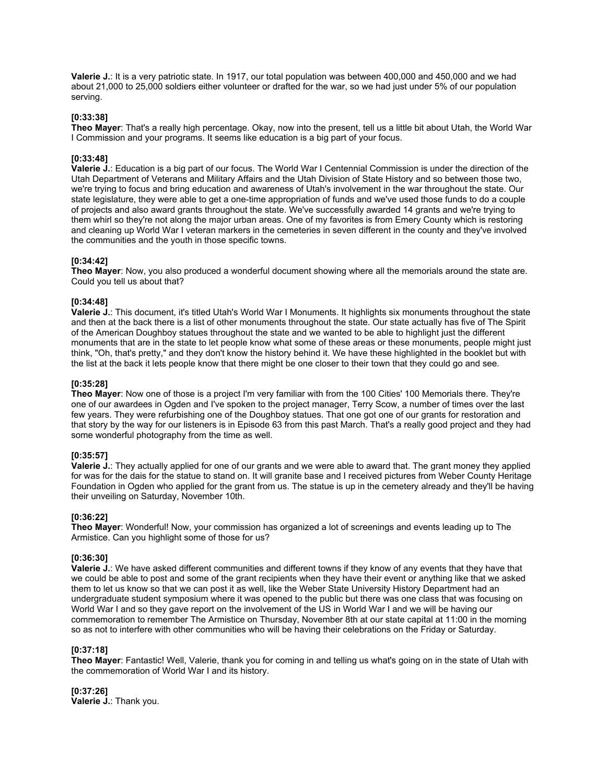**Valerie J.**: It is a very patriotic state. In 1917, our total population was between 400,000 and 450,000 and we had about 21,000 to 25,000 soldiers either volunteer or drafted for the war, so we had just under 5% of our population serving.

### **[0:33:38]**

**Theo Mayer**: That's a really high percentage. Okay, now into the present, tell us a little bit about Utah, the World War I Commission and your programs. It seems like education is a big part of your focus.

## **[0:33:48]**

**Valerie J.**: Education is a big part of our focus. The World War I Centennial Commission is under the direction of the Utah Department of Veterans and Military Affairs and the Utah Division of State History and so between those two, we're trying to focus and bring education and awareness of Utah's involvement in the war throughout the state. Our state legislature, they were able to get a one-time appropriation of funds and we've used those funds to do a couple of projects and also award grants throughout the state. We've successfully awarded 14 grants and we're trying to them whirl so they're not along the major urban areas. One of my favorites is from Emery County which is restoring and cleaning up World War I veteran markers in the cemeteries in seven different in the county and they've involved the communities and the youth in those specific towns.

#### **[0:34:42]**

**Theo Mayer**: Now, you also produced a wonderful document showing where all the memorials around the state are. Could you tell us about that?

### **[0:34:48]**

**Valerie J.**: This document, it's titled Utah's World War I Monuments. It highlights six monuments throughout the state and then at the back there is a list of other monuments throughout the state. Our state actually has five of The Spirit of the American Doughboy statues throughout the state and we wanted to be able to highlight just the different monuments that are in the state to let people know what some of these areas or these monuments, people might just think, "Oh, that's pretty," and they don't know the history behind it. We have these highlighted in the booklet but with the list at the back it lets people know that there might be one closer to their town that they could go and see.

#### **[0:35:28]**

**Theo Mayer**: Now one of those is a project I'm very familiar with from the 100 Cities' 100 Memorials there. They're one of our awardees in Ogden and I've spoken to the project manager, Terry Scow, a number of times over the last few years. They were refurbishing one of the Doughboy statues. That one got one of our grants for restoration and that story by the way for our listeners is in Episode 63 from this past March. That's a really good project and they had some wonderful photography from the time as well.

#### **[0:35:57]**

**Valerie J.**: They actually applied for one of our grants and we were able to award that. The grant money they applied for was for the dais for the statue to stand on. It will granite base and I received pictures from Weber County Heritage Foundation in Ogden who applied for the grant from us. The statue is up in the cemetery already and they'll be having their unveiling on Saturday, November 10th.

#### **[0:36:22]**

**Theo Mayer**: Wonderful! Now, your commission has organized a lot of screenings and events leading up to The Armistice. Can you highlight some of those for us?

## **[0:36:30]**

**Valerie J.**: We have asked different communities and different towns if they know of any events that they have that we could be able to post and some of the grant recipients when they have their event or anything like that we asked them to let us know so that we can post it as well, like the Weber State University History Department had an undergraduate student symposium where it was opened to the public but there was one class that was focusing on World War I and so they gave report on the involvement of the US in World War I and we will be having our commemoration to remember The Armistice on Thursday, November 8th at our state capital at 11:00 in the morning so as not to interfere with other communities who will be having their celebrations on the Friday or Saturday.

#### **[0:37:18]**

**Theo Mayer**: Fantastic! Well, Valerie, thank you for coming in and telling us what's going on in the state of Utah with the commemoration of World War I and its history.

**[0:37:26] Valerie J.**: Thank you.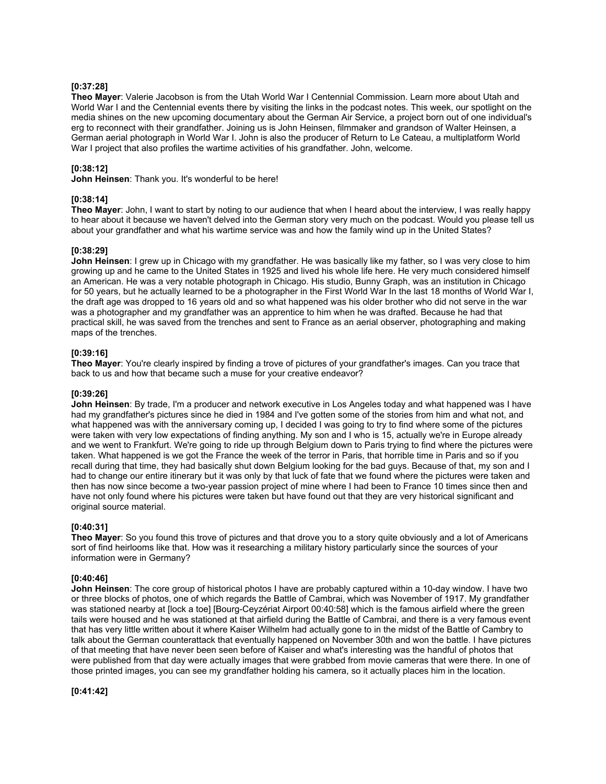## **[0:37:28]**

**Theo Mayer**: Valerie Jacobson is from the Utah World War I Centennial Commission. Learn more about Utah and World War I and the Centennial events there by visiting the links in the podcast notes. This week, our spotlight on the media shines on the new upcoming documentary about the German Air Service, a project born out of one individual's erg to reconnect with their grandfather. Joining us is John Heinsen, filmmaker and grandson of Walter Heinsen, a German aerial photograph in World War I. John is also the producer of Return to Le Cateau, a multiplatform World War I project that also profiles the wartime activities of his grandfather. John, welcome.

## **[0:38:12]**

**John Heinsen**: Thank you. It's wonderful to be here!

## **[0:38:14]**

**Theo Mayer**: John, I want to start by noting to our audience that when I heard about the interview, I was really happy to hear about it because we haven't delved into the German story very much on the podcast. Would you please tell us about your grandfather and what his wartime service was and how the family wind up in the United States?

## **[0:38:29]**

**John Heinsen**: I grew up in Chicago with my grandfather. He was basically like my father, so I was very close to him growing up and he came to the United States in 1925 and lived his whole life here. He very much considered himself an American. He was a very notable photograph in Chicago. His studio, Bunny Graph, was an institution in Chicago for 50 years, but he actually learned to be a photographer in the First World War In the last 18 months of World War I, the draft age was dropped to 16 years old and so what happened was his older brother who did not serve in the war was a photographer and my grandfather was an apprentice to him when he was drafted. Because he had that practical skill, he was saved from the trenches and sent to France as an aerial observer, photographing and making maps of the trenches.

#### **[0:39:16]**

**Theo Mayer**: You're clearly inspired by finding a trove of pictures of your grandfather's images. Can you trace that back to us and how that became such a muse for your creative endeavor?

#### **[0:39:26]**

**John Heinsen**: By trade, I'm a producer and network executive in Los Angeles today and what happened was I have had my grandfather's pictures since he died in 1984 and I've gotten some of the stories from him and what not, and what happened was with the anniversary coming up, I decided I was going to try to find where some of the pictures were taken with very low expectations of finding anything. My son and I who is 15, actually we're in Europe already and we went to Frankfurt. We're going to ride up through Belgium down to Paris trying to find where the pictures were taken. What happened is we got the France the week of the terror in Paris, that horrible time in Paris and so if you recall during that time, they had basically shut down Belgium looking for the bad guys. Because of that, my son and I had to change our entire itinerary but it was only by that luck of fate that we found where the pictures were taken and then has now since become a two-year passion project of mine where I had been to France 10 times since then and have not only found where his pictures were taken but have found out that they are very historical significant and original source material.

#### **[0:40:31]**

**Theo Mayer**: So you found this trove of pictures and that drove you to a story quite obviously and a lot of Americans sort of find heirlooms like that. How was it researching a military history particularly since the sources of your information were in Germany?

#### **[0:40:46]**

**John Heinsen**: The core group of historical photos I have are probably captured within a 10-day window. I have two or three blocks of photos, one of which regards the Battle of Cambrai, which was November of 1917. My grandfather was stationed nearby at [lock a toe] [Bourg-Ceyzériat Airport 00:40:58] which is the famous airfield where the green tails were housed and he was stationed at that airfield during the Battle of Cambrai, and there is a very famous event that has very little written about it where Kaiser Wilhelm had actually gone to in the midst of the Battle of Cambry to talk about the German counterattack that eventually happened on November 30th and won the battle. I have pictures of that meeting that have never been seen before of Kaiser and what's interesting was the handful of photos that were published from that day were actually images that were grabbed from movie cameras that were there. In one of those printed images, you can see my grandfather holding his camera, so it actually places him in the location.

**[0:41:42]**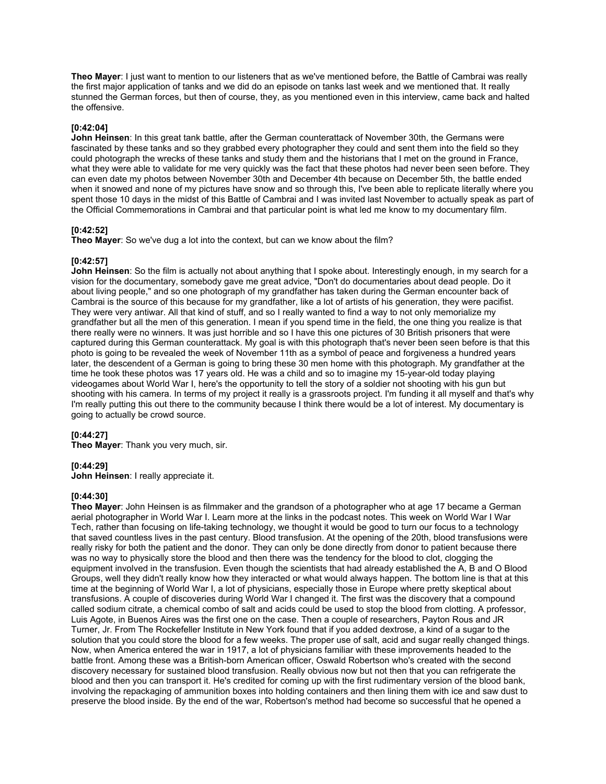**Theo Mayer**: I just want to mention to our listeners that as we've mentioned before, the Battle of Cambrai was really the first major application of tanks and we did do an episode on tanks last week and we mentioned that. It really stunned the German forces, but then of course, they, as you mentioned even in this interview, came back and halted the offensive.

### **[0:42:04]**

**John Heinsen**: In this great tank battle, after the German counterattack of November 30th, the Germans were fascinated by these tanks and so they grabbed every photographer they could and sent them into the field so they could photograph the wrecks of these tanks and study them and the historians that I met on the ground in France, what they were able to validate for me very quickly was the fact that these photos had never been seen before. They can even date my photos between November 30th and December 4th because on December 5th, the battle ended when it snowed and none of my pictures have snow and so through this, I've been able to replicate literally where you spent those 10 days in the midst of this Battle of Cambrai and I was invited last November to actually speak as part of the Official Commemorations in Cambrai and that particular point is what led me know to my documentary film.

## **[0:42:52]**

**Theo Mayer**: So we've dug a lot into the context, but can we know about the film?

#### **[0:42:57]**

**John Heinsen**: So the film is actually not about anything that I spoke about. Interestingly enough, in my search for a vision for the documentary, somebody gave me great advice, "Don't do documentaries about dead people. Do it about living people," and so one photograph of my grandfather has taken during the German encounter back of Cambrai is the source of this because for my grandfather, like a lot of artists of his generation, they were pacifist. They were very antiwar. All that kind of stuff, and so I really wanted to find a way to not only memorialize my grandfather but all the men of this generation. I mean if you spend time in the field, the one thing you realize is that there really were no winners. It was just horrible and so I have this one pictures of 30 British prisoners that were captured during this German counterattack. My goal is with this photograph that's never been seen before is that this photo is going to be revealed the week of November 11th as a symbol of peace and forgiveness a hundred years later, the descendent of a German is going to bring these 30 men home with this photograph. My grandfather at the time he took these photos was 17 years old. He was a child and so to imagine my 15-year-old today playing videogames about World War I, here's the opportunity to tell the story of a soldier not shooting with his gun but shooting with his camera. In terms of my project it really is a grassroots project. I'm funding it all myself and that's why I'm really putting this out there to the community because I think there would be a lot of interest. My documentary is going to actually be crowd source.

## **[0:44:27]**

**Theo Mayer**: Thank you very much, sir.

## **[0:44:29]**

**John Heinsen**: I really appreciate it.

# **[0:44:30]**

**Theo Mayer**: John Heinsen is as filmmaker and the grandson of a photographer who at age 17 became a German aerial photographer in World War I. Learn more at the links in the podcast notes. This week on World War I War Tech, rather than focusing on life-taking technology, we thought it would be good to turn our focus to a technology that saved countless lives in the past century. Blood transfusion. At the opening of the 20th, blood transfusions were really risky for both the patient and the donor. They can only be done directly from donor to patient because there was no way to physically store the blood and then there was the tendency for the blood to clot, clogging the equipment involved in the transfusion. Even though the scientists that had already established the A, B and O Blood Groups, well they didn't really know how they interacted or what would always happen. The bottom line is that at this time at the beginning of World War I, a lot of physicians, especially those in Europe where pretty skeptical about transfusions. A couple of discoveries during World War I changed it. The first was the discovery that a compound called sodium citrate, a chemical combo of salt and acids could be used to stop the blood from clotting. A professor, Luis Agote, in Buenos Aires was the first one on the case. Then a couple of researchers, Payton Rous and JR Turner, Jr. From The Rockefeller Institute in New York found that if you added dextrose, a kind of a sugar to the solution that you could store the blood for a few weeks. The proper use of salt, acid and sugar really changed things. Now, when America entered the war in 1917, a lot of physicians familiar with these improvements headed to the battle front. Among these was a British-born American officer, Oswald Robertson who's created with the second discovery necessary for sustained blood transfusion. Really obvious now but not then that you can refrigerate the blood and then you can transport it. He's credited for coming up with the first rudimentary version of the blood bank, involving the repackaging of ammunition boxes into holding containers and then lining them with ice and saw dust to preserve the blood inside. By the end of the war, Robertson's method had become so successful that he opened a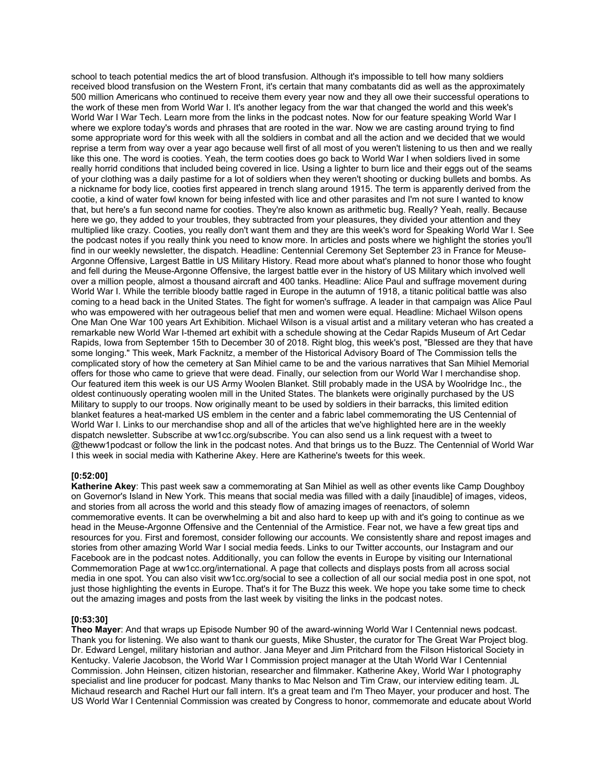school to teach potential medics the art of blood transfusion. Although it's impossible to tell how many soldiers received blood transfusion on the Western Front, it's certain that many combatants did as well as the approximately 500 million Americans who continued to receive them every year now and they all owe their successful operations to the work of these men from World War I. It's another legacy from the war that changed the world and this week's World War I War Tech. Learn more from the links in the podcast notes. Now for our feature speaking World War I where we explore today's words and phrases that are rooted in the war. Now we are casting around trying to find some appropriate word for this week with all the soldiers in combat and all the action and we decided that we would reprise a term from way over a year ago because well first of all most of you weren't listening to us then and we really like this one. The word is cooties. Yeah, the term cooties does go back to World War I when soldiers lived in some really horrid conditions that included being covered in lice. Using a lighter to burn lice and their eggs out of the seams of your clothing was a daily pastime for a lot of soldiers when they weren't shooting or ducking bullets and bombs. As a nickname for body lice, cooties first appeared in trench slang around 1915. The term is apparently derived from the cootie, a kind of water fowl known for being infested with lice and other parasites and I'm not sure I wanted to know that, but here's a fun second name for cooties. They're also known as arithmetic bug. Really? Yeah, really. Because here we go, they added to your troubles, they subtracted from your pleasures, they divided your attention and they multiplied like crazy. Cooties, you really don't want them and they are this week's word for Speaking World War I. See the podcast notes if you really think you need to know more. In articles and posts where we highlight the stories you'll find in our weekly newsletter, the dispatch. Headline: Centennial Ceremony Set September 23 in France for Meuse-Argonne Offensive, Largest Battle in US Military History. Read more about what's planned to honor those who fought and fell during the Meuse-Argonne Offensive, the largest battle ever in the history of US Military which involved well over a million people, almost a thousand aircraft and 400 tanks. Headline: Alice Paul and suffrage movement during World War I. While the terrible bloody battle raged in Europe in the autumn of 1918, a titanic political battle was also coming to a head back in the United States. The fight for women's suffrage. A leader in that campaign was Alice Paul who was empowered with her outrageous belief that men and women were equal. Headline: Michael Wilson opens One Man One War 100 years Art Exhibition. Michael Wilson is a visual artist and a military veteran who has created a remarkable new World War I-themed art exhibit with a schedule showing at the Cedar Rapids Museum of Art Cedar Rapids, Iowa from September 15th to December 30 of 2018. Right blog, this week's post, "Blessed are they that have some longing." This week, Mark Facknitz, a member of the Historical Advisory Board of The Commission tells the complicated story of how the cemetery at San Mihiel came to be and the various narratives that San Mihiel Memorial offers for those who came to grieve that were dead. Finally, our selection from our World War I merchandise shop. Our featured item this week is our US Army Woolen Blanket. Still probably made in the USA by Woolridge Inc., the oldest continuously operating woolen mill in the United States. The blankets were originally purchased by the US Military to supply to our troops. Now originally meant to be used by soldiers in their barracks, this limited edition blanket features a heat-marked US emblem in the center and a fabric label commemorating the US Centennial of World War I. Links to our merchandise shop and all of the articles that we've highlighted here are in the weekly dispatch newsletter. Subscribe at ww1cc.org/subscribe. You can also send us a link request with a tweet to @theww1podcast or follow the link in the podcast notes. And that brings us to the Buzz. The Centennial of World War I this week in social media with Katherine Akey. Here are Katherine's tweets for this week.

#### **[0:52:00]**

**Katherine Akey**: This past week saw a commemorating at San Mihiel as well as other events like Camp Doughboy on Governor's Island in New York. This means that social media was filled with a daily [inaudible] of images, videos, and stories from all across the world and this steady flow of amazing images of reenactors, of solemn commemorative events. It can be overwhelming a bit and also hard to keep up with and it's going to continue as we head in the Meuse-Argonne Offensive and the Centennial of the Armistice. Fear not, we have a few great tips and resources for you. First and foremost, consider following our accounts. We consistently share and repost images and stories from other amazing World War I social media feeds. Links to our Twitter accounts, our Instagram and our Facebook are in the podcast notes. Additionally, you can follow the events in Europe by visiting our International Commemoration Page at ww1cc.org/international. A page that collects and displays posts from all across social media in one spot. You can also visit ww1cc.org/social to see a collection of all our social media post in one spot, not just those highlighting the events in Europe. That's it for The Buzz this week. We hope you take some time to check out the amazing images and posts from the last week by visiting the links in the podcast notes.

#### **[0:53:30]**

**Theo Mayer**: And that wraps up Episode Number 90 of the award-winning World War I Centennial news podcast. Thank you for listening. We also want to thank our guests, Mike Shuster, the curator for The Great War Project blog. Dr. Edward Lengel, military historian and author. Jana Meyer and Jim Pritchard from the Filson Historical Society in Kentucky. Valerie Jacobson, the World War I Commission project manager at the Utah World War I Centennial Commission. John Heinsen, citizen historian, researcher and filmmaker. Katherine Akey, World War I photography specialist and line producer for podcast. Many thanks to Mac Nelson and Tim Craw, our interview editing team. JL Michaud research and Rachel Hurt our fall intern. It's a great team and I'm Theo Mayer, your producer and host. The US World War I Centennial Commission was created by Congress to honor, commemorate and educate about World